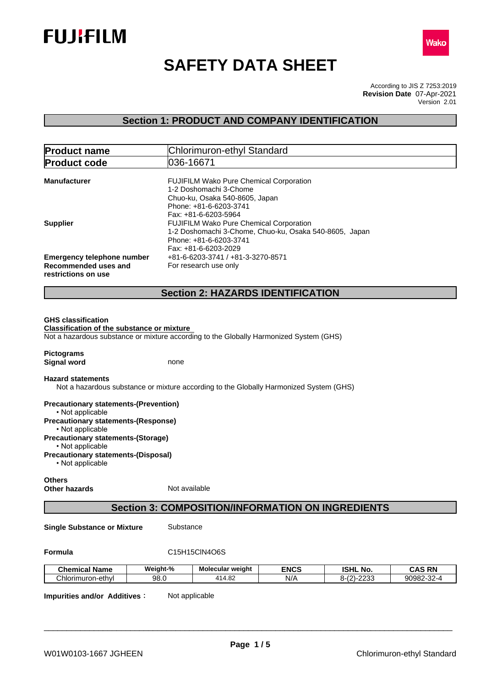



# **SAFETY DATA SHEET**

According to JIS Z 7253:2019 Version 2.01 **Revision Date** 07-Apr-2021

# **Section 1: PRODUCT AND COMPANY IDENTIFICATION**

| <b>Product name</b>                                                              | Chlorimuron-ethyl Standard                                                                                                                                                           |
|----------------------------------------------------------------------------------|--------------------------------------------------------------------------------------------------------------------------------------------------------------------------------------|
| <b>Product code</b>                                                              | 036-16671                                                                                                                                                                            |
| <b>Manufacturer</b>                                                              | <b>FUJIFILM Wako Pure Chemical Corporation</b><br>1-2 Doshomachi 3-Chome<br>Chuo-ku, Osaka 540-8605, Japan                                                                           |
| <b>Supplier</b>                                                                  | Phone: +81-6-6203-3741<br>Fax: +81-6-6203-5964<br><b>FUJIFILM Wako Pure Chemical Corporation</b><br>1-2 Doshomachi 3-Chome, Chuo-ku, Osaka 540-8605, Japan<br>Phone: +81-6-6203-3741 |
| <b>Emergency telephone number</b><br>Recommended uses and<br>restrictions on use | Fax: +81-6-6203-2029<br>+81-6-6203-3741 / +81-3-3270-8571<br>For research use only                                                                                                   |
|                                                                                  | <b>Section 2: HAZARDS IDENTIFICATION</b>                                                                                                                                             |
| <b>GHS classification</b><br><b>Classification of the substance or mixture</b>   | Not a hazardous substance or mixture according to the Globally Harmonized System (GHS)                                                                                               |
| <b>Pictograms</b><br><b>Signal word</b>                                          | none                                                                                                                                                                                 |
| <b>Hazard statements</b>                                                         | Not a hazardous substance or mixture according to the Globally Harmonized System (GHS)                                                                                               |
| <b>Precautionary statements-(Prevention)</b><br>• Not applicable                 |                                                                                                                                                                                      |
| <b>Precautionary statements-(Response)</b><br>• Not applicable                   |                                                                                                                                                                                      |
| <b>Precautionary statements-(Storage)</b><br>• Not applicable                    |                                                                                                                                                                                      |
| <b>Precautionary statements-(Disposal)</b><br>• Not applicable                   |                                                                                                                                                                                      |

**Others Other hazards** Not available

# **Section 3: COMPOSITION/INFORMATION ON INGREDIENTS**

**Single Substance or Mixture** Substance

#### **Formula** C15H15ClN4O6S

| <b>Chemical Name</b>        | Weight-% | Molecular weight  | <b>ENCS</b> | <b>ISHL</b><br>NO.                  | <b>CAS RN</b>    |
|-----------------------------|----------|-------------------|-------------|-------------------------------------|------------------|
| ົ<br>`hlorimuron-ethyl<br>◡ | 98.0     | ററ<br>414<br>4.OZ | N/t         | 0.000<br>$\sim$<br>0-1Z.<br>.<br>-- | 90982-32-<br>⊶∠ت |

**Impurities and/or Additives:** Not applicable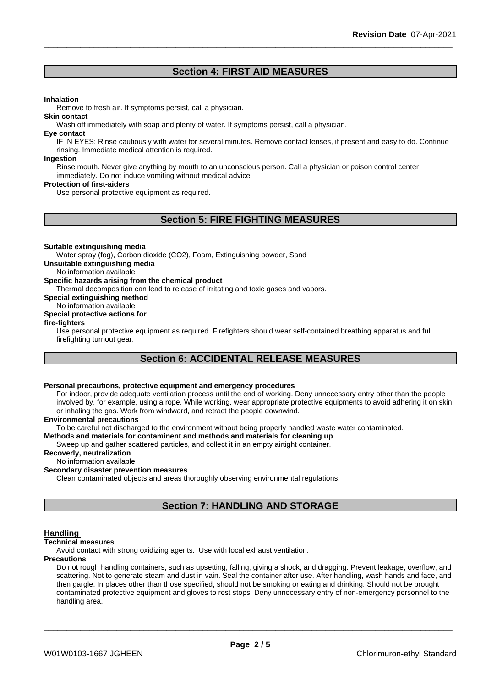# **Section 4: FIRST AID MEASURES**

#### **Inhalation**

Remove to fresh air. If symptoms persist, call a physician.

#### **Skin contact**

Wash off immediately with soap and plenty of water. If symptoms persist, call a physician.

#### **Eye contact**

IF IN EYES: Rinse cautiously with water for several minutes. Remove contact lenses, if present and easy to do. Continue rinsing. Immediate medical attention is required.

#### **Ingestion**

Rinse mouth. Never give anything by mouth to an unconscious person. Call a physician or poison control center immediately. Do not induce vomiting without medical advice.

#### **Protection of first-aiders**

Use personal protective equipment as required.

# **Section 5: FIRE FIGHTING MEASURES**

#### **Suitable extinguishing media**

Water spray (fog), Carbon dioxide (CO2), Foam, Extinguishing powder, Sand

**Unsuitable extinguishing media**

No information available

#### **Specific hazards arising from the chemical product**

Thermal decomposition can lead to release of irritating and toxic gases and vapors.

**Special extinguishing method**

#### No information available **Special protective actions for**

**fire-fighters**

Use personal protective equipment as required.Firefighters should wear self-contained breathing apparatus and full firefighting turnout gear.

# **Section 6: ACCIDENTAL RELEASE MEASURES**

# **Personal precautions, protective equipment and emergency procedures**

For indoor, provide adequate ventilation process until the end of working. Deny unnecessary entry other than the people involved by, for example, using a rope. While working, wear appropriate protective equipments to avoid adhering it on skin, or inhaling the gas. Work from windward, and retract the people downwind.

#### **Environmental precautions**

To be careful not discharged to the environment without being properly handled waste water contaminated.

#### **Methods and materials for contaminent and methods and materials for cleaning up**

Sweep up and gather scattered particles, and collect it in an empty airtight container.

#### **Recoverly, neutralization**

No information available

### **Secondary disaster prevention measures**

Clean contaminated objects and areas thoroughly observing environmental regulations.

# **Section 7: HANDLING AND STORAGE**

#### **Handling**

#### **Technical measures**

Avoid contact with strong oxidizing agents. Use with local exhaust ventilation.

#### **Precautions**

Do not rough handling containers, such as upsetting, falling, giving a shock, and dragging. Prevent leakage, overflow, and scattering. Not to generate steam and dust in vain. Seal the container after use. After handling, wash hands and face, and then gargle. In places other than those specified, should not be smoking or eating and drinking. Should not be brought contaminated protective equipment and gloves to rest stops. Deny unnecessary entry of non-emergency personnel to the handling area.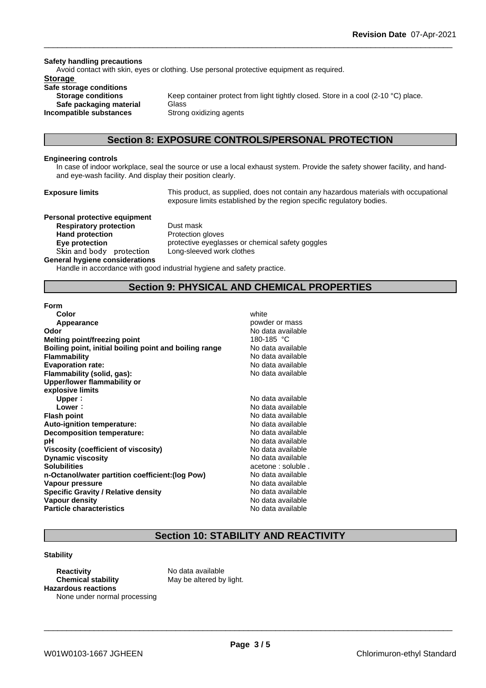#### **Safety handling precautions**

Avoid contact with skin, eyes or clothing. Use personal protective equipment as required.

### **Storage**

**Safe storage conditions Safe packaging material** Glass **Incompatible substances** Strong oxidizing agents

**Storage conditions** Keep container protect from light tightly closed. Store in a cool (2-10 °C) place.

## **Section 8: EXPOSURE CONTROLS/PERSONAL PROTECTION**

#### **Engineering controls**

In case of indoor workplace, seal the source or use a local exhaust system. Provide the safety shower facility, and handand eye-wash facility. And display their position clearly.

**Exposure limits** This product, as supplied, does not contain any hazardous materials with occupational exposure limits established by the region specific regulatory bodies.

**Personal protective equipment Respiratory protection** Dust mask **Hand protection** Protection gloves **Skinandbody protection** Long-sleeved work clothes

**Eye protection protective eyeglasses or chemical safety goggles** 

#### **General hygiene considerations**

Handle in accordance with good industrial hygiene and safety practice.

# **Section 9: PHYSICAL AND CHEMICAL PROPERTIES**

#### **Form**

| Color                                                  | white              |
|--------------------------------------------------------|--------------------|
| Appearance                                             | powder or mass     |
| Odor                                                   | No data available  |
| <b>Melting point/freezing point</b>                    | 180-185 °C         |
| Boiling point, initial boiling point and boiling range | No data available  |
| <b>Flammability</b>                                    | No data available  |
| <b>Evaporation rate:</b>                               | No data available  |
| Flammability (solid, gas):                             | No data available  |
| Upper/lower flammability or                            |                    |
| explosive limits                                       |                    |
| Upper:                                                 | No data available  |
| Lower:                                                 | No data available  |
| <b>Flash point</b>                                     | No data available  |
| Auto-ignition temperature:                             | No data available  |
| Decomposition temperature:                             | No data available  |
| рH                                                     | No data available  |
| Viscosity (coefficient of viscosity)                   | No data available  |
| <b>Dynamic viscosity</b>                               | No data available  |
| <b>Solubilities</b>                                    | acetone : soluble. |
| n-Octanol/water partition coefficient: (log Pow)       | No data available  |
| Vapour pressure                                        | No data available  |
| <b>Specific Gravity / Relative density</b>             | No data available  |
| Vapour density                                         | No data available  |
| <b>Particle characteristics</b>                        | No data available  |
|                                                        |                    |

# **Section 10: STABILITY AND REACTIVITY**

#### **Stability**

**Reactivity** No data available **Chemical stability** May be altered by light. **Hazardous reactions** None under normal processing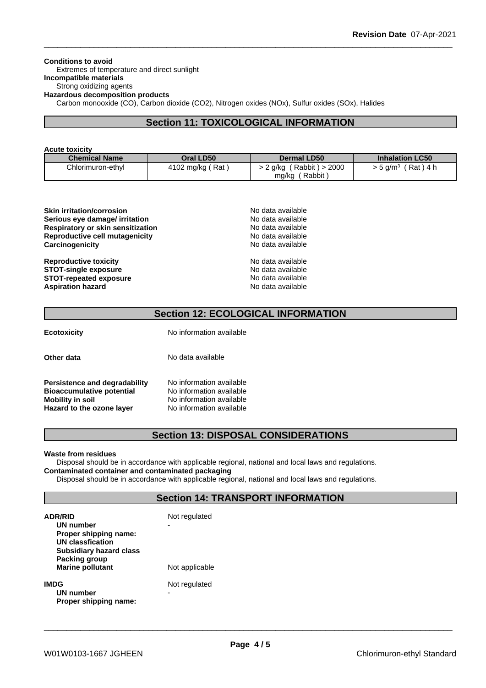**Conditions to avoid** Extremes of temperature and direct sunlight **Incompatible materials** Strong oxidizing agents **Hazardous decomposition products** Carbon monooxide (CO), Carbon dioxide (CO2), Nitrogen oxides (NOx), Sulfur oxides (SOx), Halides

# **Section 11: TOXICOLOGICAL INFORMATION**

| <b>Acute toxicity</b> |  |
|-----------------------|--|
|-----------------------|--|

| <b>Chemical Name</b> | Oral LD50        | <b>Dermal LD50</b>                                   | <b>Inhalation LC50</b>     |
|----------------------|------------------|------------------------------------------------------|----------------------------|
| Chlorimuron-ethyl    | 4102 mg/kg (Rat) | $> 2$ g/kg (Rabbit) $> 2000$<br>$'$ Rabbit,<br>mg/kg | (Rat)4 h<br>> 5 g/m $^3\,$ |

| <b>Skin irritation/corrosion</b>  | No data available |  |
|-----------------------------------|-------------------|--|
| Serious eye damage/ irritation    | No data available |  |
| Respiratory or skin sensitization | No data available |  |
| Reproductive cell mutagenicity    | No data available |  |
| Carcinogenicity                   | No data available |  |
| <b>Reproductive toxicity</b>      | No data available |  |
| <b>STOT-single exposure</b>       | No data available |  |

**STOT-repeated exposure Aspiration hazard** 

| no uuu uvuluul    |
|-------------------|
| No data available |
| No data available |
| No data available |
|                   |
|                   |

# **Section 12: ECOLOGICAL INFORMATION**

**Ecotoxicity** No information available

**Other data** No data available

| Persistence and degradability    | No information available |
|----------------------------------|--------------------------|
| <b>Bioaccumulative potential</b> | No information available |
| <b>Mobility in soil</b>          | No information available |
| Hazard to the ozone layer        | No information available |

# **No information available Mobility in soil** No information available **Hazard to the ozone layer** No information available

# **Section 13: DISPOSAL CONSIDERATIONS**

#### **Waste from residues**

Disposal should be in accordance with applicable regional, national and local laws and regulations. **Contaminated container and contaminated packaging**

Disposal should be in accordance with applicable regional, national and local laws and regulations.

# **Section 14: TRANSPORT INFORMATION**

| <b>ADR/RID</b><br><b>UN number</b><br>Proper shipping name:<br><b>UN classfication</b><br><b>Subsidiary hazard class</b> | Not regulated<br>- |
|--------------------------------------------------------------------------------------------------------------------------|--------------------|
| Packing group<br><b>Marine pollutant</b>                                                                                 | Not applicable     |
| <b>IMDG</b><br>UN number<br>Proper shipping name:                                                                        | Not regulated<br>- |